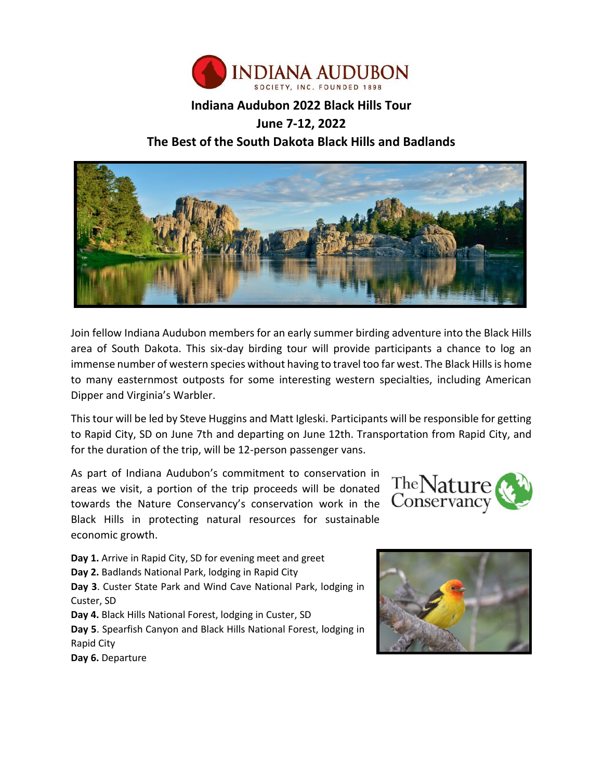

## **Indiana Audubon 2022 Black Hills Tour**

# **June 7-12, 2022 The Best of the South Dakota Black Hills and Badlands**



Join fellow Indiana Audubon members for an early summer birding adventure into the Black Hills area of South Dakota. This six-day birding tour will provide participants a chance to log an immense number of western species without having to travel too far west. The Black Hills is home to many easternmost outposts for some interesting western specialties, including American Dipper and Virginia's Warbler.

This tour will be led by Steve Huggins and Matt Igleski. Participants will be responsible for getting to Rapid City, SD on June 7th and departing on June 12th. Transportation from Rapid City, and for the duration of the trip, will be 12-person passenger vans.

As part of Indiana Audubon's commitment to conservation in areas we visit, a portion of the trip proceeds will be donated towards the Nature Conservancy's conservation work in the Black Hills in protecting natural resources for sustainable economic growth.



**Day 1.** Arrive in Rapid City, SD for evening meet and greet **Day 2.** Badlands National Park, lodging in Rapid City **Day 3**. Custer State Park and Wind Cave National Park, lodging in Custer, SD **Day 4.** Black Hills National Forest, lodging in Custer, SD **Day 5**. Spearfish Canyon and Black Hills National Forest, lodging in Rapid City **Day 6.** Departure

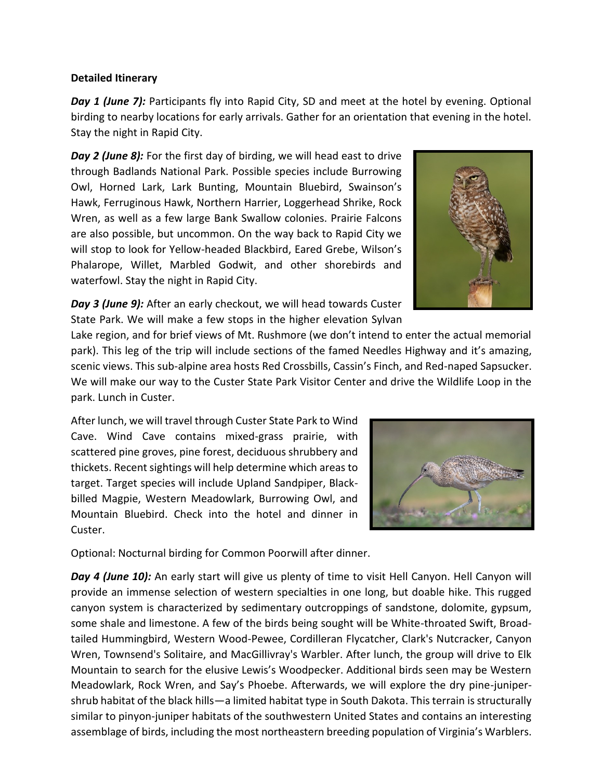#### **Detailed Itinerary**

**Day 1 (June 7):** Participants fly into Rapid City, SD and meet at the hotel by evening. Optional birding to nearby locations for early arrivals. Gather for an orientation that evening in the hotel. Stay the night in Rapid City.

*Day 2 (June 8):* For the first day of birding, we will head east to drive through Badlands National Park. Possible species include Burrowing Owl, Horned Lark, Lark Bunting, Mountain Bluebird, Swainson's Hawk, Ferruginous Hawk, Northern Harrier, Loggerhead Shrike, Rock Wren, as well as a few large Bank Swallow colonies. Prairie Falcons are also possible, but uncommon. On the way back to Rapid City we will stop to look for Yellow-headed Blackbird, Eared Grebe, Wilson's Phalarope, Willet, Marbled Godwit, and other shorebirds and waterfowl. Stay the night in Rapid City.



*Day 3 (June 9):* After an early checkout, we will head towards Custer State Park. We will make a few stops in the higher elevation Sylvan

Lake region, and for brief views of Mt. Rushmore (we don't intend to enter the actual memorial park). This leg of the trip will include sections of the famed Needles Highway and it's amazing, scenic views. This sub-alpine area hosts Red Crossbills, Cassin's Finch, and Red-naped Sapsucker. We will make our way to the Custer State Park Visitor Center and drive the Wildlife Loop in the park. Lunch in Custer.

After lunch, we will travel through Custer State Park to Wind Cave. Wind Cave contains mixed-grass prairie, with scattered pine groves, pine forest, deciduous shrubbery and thickets. Recent sightings will help determine which areas to target. Target species will include Upland Sandpiper, Blackbilled Magpie, Western Meadowlark, Burrowing Owl, and Mountain Bluebird. Check into the hotel and dinner in Custer.



Optional: Nocturnal birding for Common Poorwill after dinner.

*Day 4 (June 10):* An early start will give us plenty of time to visit Hell Canyon. Hell Canyon will provide an immense selection of western specialties in one long, but doable hike. This rugged canyon system is characterized by sedimentary outcroppings of sandstone, dolomite, gypsum, some shale and limestone. A few of the birds being sought will be White-throated Swift, Broadtailed Hummingbird, Western Wood-Pewee, Cordilleran Flycatcher, Clark's Nutcracker, Canyon Wren, Townsend's Solitaire, and MacGillivray's Warbler. After lunch, the group will drive to Elk Mountain to search for the elusive Lewis's Woodpecker. Additional birds seen may be Western Meadowlark, Rock Wren, and Say's Phoebe. Afterwards, we will explore the dry pine-junipershrub habitat of the black hills—a limited habitat type in South Dakota. This terrain is structurally similar to pinyon-juniper habitats of the southwestern United States and contains an interesting assemblage of birds, including the most northeastern breeding population of Virginia's Warblers.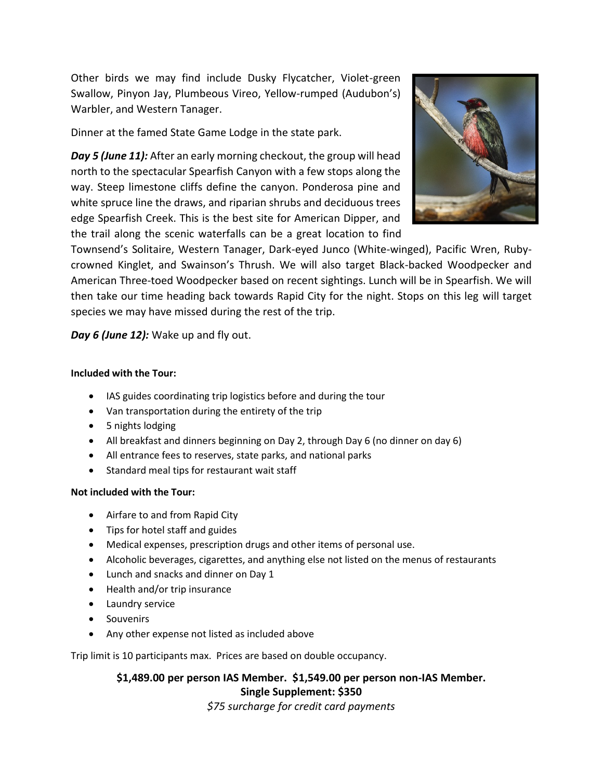Other birds we may find include Dusky Flycatcher, Violet-green Swallow, Pinyon Jay, Plumbeous Vireo, Yellow-rumped (Audubon's) Warbler, and Western Tanager.

Dinner at the famed State Game Lodge in the state park.

*Day 5 (June 11):* After an early morning checkout, the group will head north to the spectacular Spearfish Canyon with a few stops along the way. Steep limestone cliffs define the canyon. Ponderosa pine and white spruce line the draws, and riparian shrubs and deciduous trees edge Spearfish Creek. This is the best site for American Dipper, and the trail along the scenic waterfalls can be a great location to find



Townsend's Solitaire, Western Tanager, Dark-eyed Junco (White-winged), Pacific Wren, Rubycrowned Kinglet, and Swainson's Thrush. We will also target Black-backed Woodpecker and American Three-toed Woodpecker based on recent sightings. Lunch will be in Spearfish. We will then take our time heading back towards Rapid City for the night. Stops on this leg will target species we may have missed during the rest of the trip.

*Day 6 (June 12):* Wake up and fly out.

#### **Included with the Tour:**

- IAS guides coordinating trip logistics before and during the tour
- Van transportation during the entirety of the trip
- 5 nights lodging
- All breakfast and dinners beginning on Day 2, through Day 6 (no dinner on day 6)
- All entrance fees to reserves, state parks, and national parks
- Standard meal tips for restaurant wait staff

## **Not included with the Tour:**

- Airfare to and from Rapid City
- Tips for hotel staff and guides
- Medical expenses, prescription drugs and other items of personal use.
- Alcoholic beverages, cigarettes, and anything else not listed on the menus of restaurants
- Lunch and snacks and dinner on Day 1
- Health and/or trip insurance
- Laundry service
- Souvenirs
- Any other expense not listed as included above

Trip limit is 10 participants max. Prices are based on double occupancy.

**\$1,489.00 per person IAS Member. \$1,549.00 per person non-IAS Member. Single Supplement: \$350**

*\$75 surcharge for credit card payments*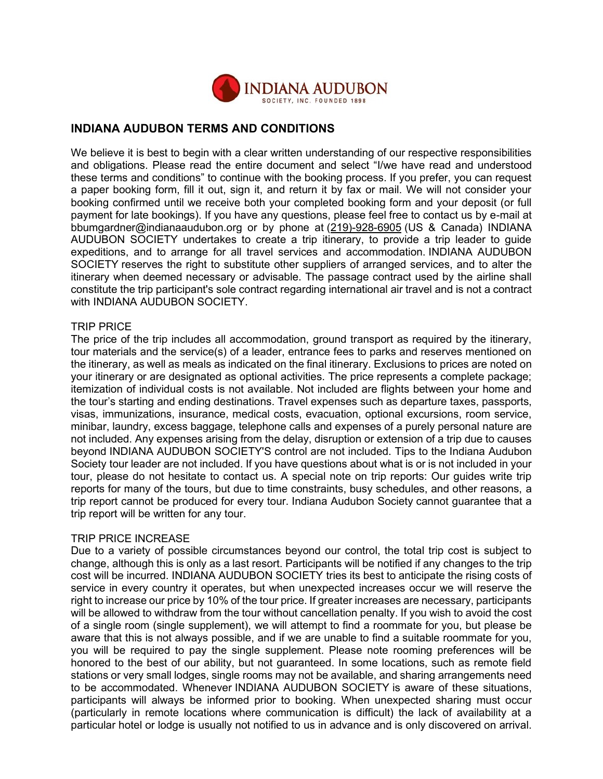

## **INDIANA AUDUBON TERMS AND CONDITIONS**

We believe it is best to begin with a clear written understanding of our respective responsibilities and obligations. Please read the entire document and select "I/we have read and understood these terms and conditions" to continue with the booking process. If you prefer, you can request a paper booking form, fill it out, sign it, and return it by fax or mail. We will not consider your booking confirmed until we receive both your completed booking form and your deposit (or full payment for late bookings). If you have any questions, please feel free to contact us by e-mail at bbumgardner@indianaaudubon.org or by phone at (219)-928-6905 (US & Canada) INDIANA AUDUBON SOCIETY undertakes to create a trip itinerary, to provide a trip leader to guide expeditions, and to arrange for all travel services and accommodation. INDIANA AUDUBON SOCIETY reserves the right to substitute other suppliers of arranged services, and to alter the itinerary when deemed necessary or advisable. The passage contract used by the airline shall constitute the trip participant's sole contract regarding international air travel and is not a contract with INDIANA AUDUBON SOCIETY.

#### TRIP PRICE

The price of the trip includes all accommodation, ground transport as required by the itinerary, tour materials and the service(s) of a leader, entrance fees to parks and reserves mentioned on the itinerary, as well as meals as indicated on the final itinerary. Exclusions to prices are noted on your itinerary or are designated as optional activities. The price represents a complete package; itemization of individual costs is not available. Not included are flights between your home and the tour's starting and ending destinations. Travel expenses such as departure taxes, passports, visas, immunizations, insurance, medical costs, evacuation, optional excursions, room service, minibar, laundry, excess baggage, telephone calls and expenses of a purely personal nature are not included. Any expenses arising from the delay, disruption or extension of a trip due to causes beyond INDIANA AUDUBON SOCIETY'S control are not included. Tips to the Indiana Audubon Society tour leader are not included. If you have questions about what is or is not included in your tour, please do not hesitate to contact us. A special note on trip reports: Our guides write trip reports for many of the tours, but due to time constraints, busy schedules, and other reasons, a trip report cannot be produced for every tour. Indiana Audubon Society cannot guarantee that a trip report will be written for any tour.

#### TRIP PRICE INCREASE

Due to a variety of possible circumstances beyond our control, the total trip cost is subject to change, although this is only as a last resort. Participants will be notified if any changes to the trip cost will be incurred. INDIANA AUDUBON SOCIETY tries its best to anticipate the rising costs of service in every country it operates, but when unexpected increases occur we will reserve the right to increase our price by 10% of the tour price. If greater increases are necessary, participants will be allowed to withdraw from the tour without cancellation penalty. If you wish to avoid the cost of a single room (single supplement), we will attempt to find a roommate for you, but please be aware that this is not always possible, and if we are unable to find a suitable roommate for you, you will be required to pay the single supplement. Please note rooming preferences will be honored to the best of our ability, but not guaranteed. In some locations, such as remote field stations or very small lodges, single rooms may not be available, and sharing arrangements need to be accommodated. Whenever INDIANA AUDUBON SOCIETY is aware of these situations, participants will always be informed prior to booking. When unexpected sharing must occur (particularly in remote locations where communication is difficult) the lack of availability at a particular hotel or lodge is usually not notified to us in advance and is only discovered on arrival.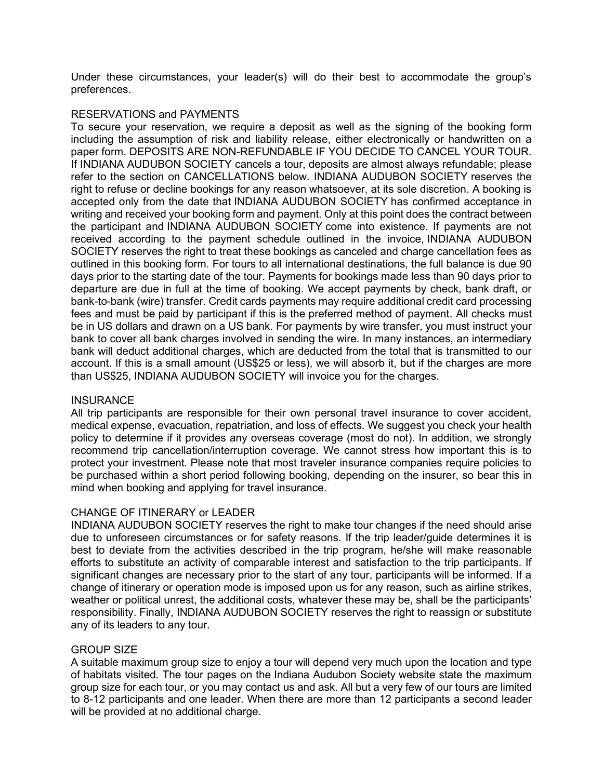Under these circumstances, your leader(s) will do their best to accommodate the group's preferences.

#### RESERVATIONS and PAYMENTS

To secure your reservation, we require a deposit as well as the signing of the booking form including the assumption of risk and liability release, either electronically or handwritten on a paper form. DEPOSITS ARE NON-REFUNDABLE IF YOU DECIDE TO CANCEL YOUR TOUR. If INDIANA AUDUBON SOCIETY cancels a tour, deposits are almost always refundable; please refer to the section on CANCELLATIONS below. INDIANA AUDUBON SOCIETY reserves the right to refuse or decline bookings for any reason whatsoever, at its sole discretion. A booking is accepted only from the date that INDIANA AUDUBON SOCIETY has confirmed acceptance in writing and received your booking form and payment. Only at this point does the contract between the participant and INDIANA AUDUBON SOCIETY come into existence. If payments are not received according to the payment schedule outlined in the invoice, INDIANA AUDUBON SOCIETY reserves the right to treat these bookings as canceled and charge cancellation fees as outlined in this booking form. For tours to all international destinations, the full balance is due 90 days prior to the starting date of the tour. Payments for bookings made less than 90 days prior to departure are due in full at the time of booking. We accept payments by check, bank draft, or bank-to-bank (wire) transfer. Credit cards payments may require additional credit card processing fees and must be paid by participant if this is the preferred method of payment. All checks must be in US dollars and drawn on a US bank. For payments by wire transfer, you must instruct your bank to cover all bank charges involved in sending the wire. In many instances, an intermediary bank will deduct additional charges, which are deducted from the total that is transmitted to our account. If this is a small amount (US\$25 or less), we will absorb it, but if the charges are more than US\$25, INDIANA AUDUBON SOCIETY will invoice you for the charges.

## **INSURANCE**

All trip participants are responsible for their own personal travel insurance to cover accident, medical expense, evacuation, repatriation, and loss of effects. We suggest you check your health policy to determine if it provides any overseas coverage (most do not). In addition, we strongly recommend trip cancellation/interruption coverage. We cannot stress how important this is to protect your investment. Please note that most traveler insurance companies require policies to be purchased within a short period following booking, depending on the insurer, so bear this in mind when booking and applying for travel insurance.

## CHANGE OF ITINERARY or LEADER

INDIANA AUDUBON SOCIETY reserves the right to make tour changes if the need should arise due to unforeseen circumstances or for safety reasons. If the trip leader/guide determines it is best to deviate from the activities described in the trip program, he/she will make reasonable efforts to substitute an activity of comparable interest and satisfaction to the trip participants. If significant changes are necessary prior to the start of any tour, participants will be informed. If a change of itinerary or operation mode is imposed upon us for any reason, such as airline strikes, weather or political unrest, the additional costs, whatever these may be, shall be the participants' responsibility. Finally, INDIANA AUDUBON SOCIETY reserves the right to reassign or substitute any of its leaders to any tour.

#### GROUP SIZE

A suitable maximum group size to enjoy a tour will depend very much upon the location and type of habitats visited. The tour pages on the Indiana Audubon Society website state the maximum group size for each tour, or you may contact us and ask. All but a very few of our tours are limited to 8-12 participants and one leader. When there are more than 12 participants a second leader will be provided at no additional charge.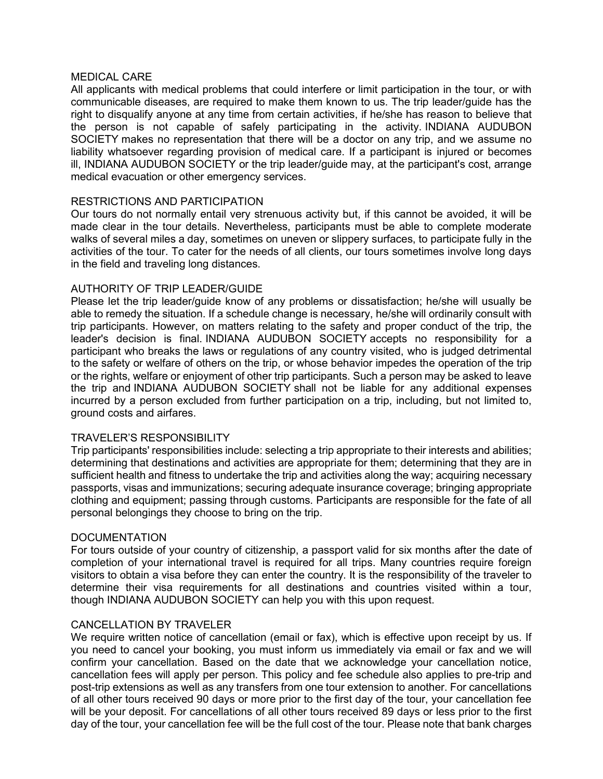#### MEDICAL CARE

All applicants with medical problems that could interfere or limit participation in the tour, or with communicable diseases, are required to make them known to us. The trip leader/guide has the right to disqualify anyone at any time from certain activities, if he/she has reason to believe that the person is not capable of safely participating in the activity. INDIANA AUDUBON SOCIETY makes no representation that there will be a doctor on any trip, and we assume no liability whatsoever regarding provision of medical care. If a participant is injured or becomes ill, INDIANA AUDUBON SOCIETY or the trip leader/guide may, at the participant's cost, arrange medical evacuation or other emergency services.

#### RESTRICTIONS AND PARTICIPATION

Our tours do not normally entail very strenuous activity but, if this cannot be avoided, it will be made clear in the tour details. Nevertheless, participants must be able to complete moderate walks of several miles a day, sometimes on uneven or slippery surfaces, to participate fully in the activities of the tour. To cater for the needs of all clients, our tours sometimes involve long days in the field and traveling long distances.

#### AUTHORITY OF TRIP LEADER/GUIDE

Please let the trip leader/guide know of any problems or dissatisfaction; he/she will usually be able to remedy the situation. If a schedule change is necessary, he/she will ordinarily consult with trip participants. However, on matters relating to the safety and proper conduct of the trip, the leader's decision is final. INDIANA AUDUBON SOCIETY accepts no responsibility for a participant who breaks the laws or regulations of any country visited, who is judged detrimental to the safety or welfare of others on the trip, or whose behavior impedes the operation of the trip or the rights, welfare or enjoyment of other trip participants. Such a person may be asked to leave the trip and INDIANA AUDUBON SOCIETY shall not be liable for any additional expenses incurred by a person excluded from further participation on a trip, including, but not limited to, ground costs and airfares.

## TRAVELER'S RESPONSIBILITY

Trip participants' responsibilities include: selecting a trip appropriate to their interests and abilities; determining that destinations and activities are appropriate for them; determining that they are in sufficient health and fitness to undertake the trip and activities along the way; acquiring necessary passports, visas and immunizations; securing adequate insurance coverage; bringing appropriate clothing and equipment; passing through customs. Participants are responsible for the fate of all personal belongings they choose to bring on the trip.

## DOCUMENTATION

For tours outside of your country of citizenship, a passport valid for six months after the date of completion of your international travel is required for all trips. Many countries require foreign visitors to obtain a visa before they can enter the country. It is the responsibility of the traveler to determine their visa requirements for all destinations and countries visited within a tour, though INDIANA AUDUBON SOCIETY can help you with this upon request.

#### CANCELLATION BY TRAVELER

We require written notice of cancellation (email or fax), which is effective upon receipt by us. If you need to cancel your booking, you must inform us immediately via email or fax and we will confirm your cancellation. Based on the date that we acknowledge your cancellation notice, cancellation fees will apply per person. This policy and fee schedule also applies to pre-trip and post-trip extensions as well as any transfers from one tour extension to another. For cancellations of all other tours received 90 days or more prior to the first day of the tour, your cancellation fee will be your deposit. For cancellations of all other tours received 89 days or less prior to the first day of the tour, your cancellation fee will be the full cost of the tour. Please note that bank charges